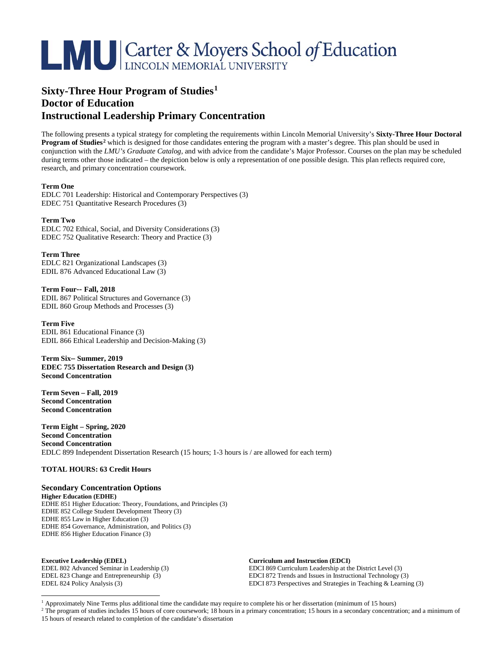# **LAU Carter & Moyers School of Education**

## **Sixty-Three Hour Program of Studies[1](#page-0-0) Doctor of Education Instructional Leadership Primary Concentration**

The following presents a typical strategy for completing the requirements within Lincoln Memorial University's **Sixty-Three Hour Doctoral Program of Studies[2](#page-0-1)** which is designed for those candidates entering the program with a master's degree. This plan should be used in conjunction with the *LMU's Graduate Catalog,* and with advice from the candidate's Major Professor. Courses on the plan may be scheduled during terms other those indicated – the depiction below is only a representation of one possible design. This plan reflects required core, research, and primary concentration coursework.

#### **Term One**

EDLC 701 Leadership: Historical and Contemporary Perspectives (3) EDEC 751 Quantitative Research Procedures (3)

#### **Term Two**

EDLC 702 Ethical, Social, and Diversity Considerations (3) EDEC 752 Qualitative Research: Theory and Practice (3)

#### **Term Three**

EDLC 821 Organizational Landscapes (3) EDIL 876 Advanced Educational Law (3)

### **Term Four-- Fall, 2018**

EDIL 867 Political Structures and Governance (3) EDIL 860 Group Methods and Processes (3)

#### **Term Five**

EDIL 861 Educational Finance (3) EDIL 866 Ethical Leadership and Decision-Making (3)

**Term Six– Summer, 2019 EDEC 755 Dissertation Research and Design (3) Second Concentration**

**Term Seven – Fall, 2019 Second Concentration Second Concentration**

**Term Eight – Spring, 2020 Second Concentration Second Concentration** EDLC 899 Independent Dissertation Research (15 hours; 1-3 hours is / are allowed for each term)

#### **TOTAL HOURS: 63 Credit Hours**

**Secondary Concentration Options Higher Education (EDHE)** EDHE 851 Higher Education: Theory, Foundations, and Principles (3) EDHE 852 College Student Development Theory (3) EDHE 855 Law in Higher Education (3) EDHE 854 Governance, Administration, and Politics (3) EDHE 856 Higher Education Finance (3)

**Executive Leadership (EDEL) Curriculum and Instruction (EDCI)**

EDEL 802 Advanced Seminar in Leadership (3) EDCI 869 Curriculum Leadership at the District Level (3)<br>EDCI 872 Trends and Issues in Instructional Technology ( EDEL 823 Change and Entrepreneurship (3) EDCI 872 Trends and Issues in Instructional Technology (3)<br>EDCI 873 Perspectives and Strategies in Teaching & Learnir EDCI 873 Perspectives and Strategies in Teaching  $&$  Learning (3)

<span id="page-0-1"></span><span id="page-0-0"></span><sup>2</sup> The program of studies includes 15 hours of core coursework; 18 hours in a primary concentration; 15 hours in a secondary concentration; and a minimum of 15 hours of research related to completion of the candidate's dissertation

<sup>&</sup>lt;sup>1</sup> Approximately Nine Terms plus additional time the candidate may require to complete his or her dissertation (minimum of 15 hours)